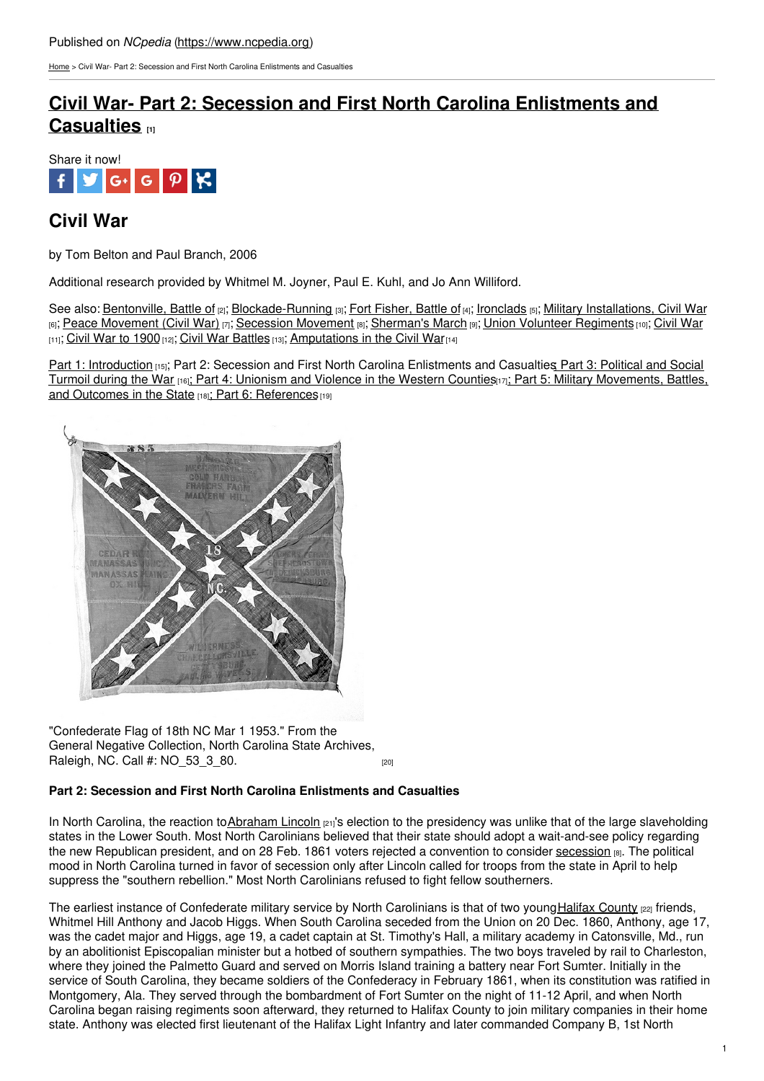[Home](https://www.ncpedia.org/) > Civil War- Part 2: Secession and First North Carolina Enlistments and Casualties

# **Civil War- Part 2: Secession and First North Carolina [Enlistments](https://www.ncpedia.org/part-2-secession-and-first-north-ca) and Casualties [1]**



## **Civil War**

by Tom Belton and Paul Branch, 2006

Additional research provided by Whitmel M. Joyner, Paul E. Kuhl, and Jo Ann Williford.

See also: [Bentonville,](https://www.ncpedia.org/bentonville-battle) Battle of [2]; [Blockade-Running](https://www.ncpedia.org/blockade-running) [3]; Fort [Fisher,](https://www.ncpedia.org/fort-fisher-battle) Battle of [4]; [Ironclads](https://www.ncpedia.org/ironclads) [5]; Military [Installations,](https://www.ncpedia.org/civilwar/installations) Civil War [6]; Peace [Movement](https://www.ncpedia.org/peace-movement-civil-war) (Civil War) [7]; [Secession](https://www.ncpedia.org/secession-movement) Movement [8]; [Sherman's](https://www.ncpedia.org/shermans-march) March [9]; Union Volunteer [Regiments](https://www.ncpedia.org/union-volunteer-regiments) [10]; [Civil](https://www.ncpedia.org/history/cw-1900/civil-war) War [11]; Civil War to [1900](https://www.ncpedia.org/history/cw-1900) [12]; Civil War [Battles](https://www.ncpedia.org/civil-war-battles) [13]; [Amputations](https://www.ncpedia.org/history/cw-1900/amputations) in the Civil War [14]

Part 1: [Introduction](https://www.ncpedia.org/civil-war) [15]; Part 2: Secession and First [North](http://www.social9.com) Carolina Enlistments and Casualties Part 3: Political and Social Turmoil during the War [16]; Part 4: [Unionism](https://www.ncpedia.org/part-4-unionism-and-violence-wester) and Violence in the Western Counties[17]; Part 5: Military [Movements,](https://www.ncpedia.org/part-3-political-and-social-turmoil) Battles, and Outcomes in the State [18]; Part 6: [References](https://www.ncpedia.org/part-6-references) [19]



"Confederate Flag of 18th NC Mar 1 1953." From the General Negative Collection, North Carolina State Archives, Raleigh, NC, Call #: NO 53 3 80. [20]

### **Part 2: Secession and First North Carolina Enlistments and Casualties**

In North Carolina, the reaction to[Abraham](https://www.whitehouse.gov/about/presidents/abrahamlincoln) Lincoln [21]'s election to the presidency was unlike that of the large slaveholding states in the Lower South. Most North Carolinians believed that their state should adopt a wait-and-see policy regarding the new Republican president, and on 28 Feb. 1861 voters rejected a convention to consider [secession](https://www.ncpedia.org/secession-movement) [8]. The political mood in North Carolina turned in favor of secession only after Lincoln called for troops from the state in April to help suppress the "southern rebellion." Most North Carolinians refused to fight fellow southerners.

The earliest instance of Confederate military service by North Carolinians is that of two youngHalifax [County](https://www.ncpedia.org/geography/halifax) [22] friends, Whitmel Hill Anthony and Jacob Higgs. When South Carolina seceded from the Union on 20 Dec. 1860. Anthony, age 17, was the cadet major and Higgs, age 19, a cadet captain at St. Timothy's Hall, a military academy in Catonsville, Md., run by an abolitionist Episcopalian minister but a hotbed of southern sympathies. The two boys traveled by rail to Charleston, where they joined the Palmetto Guard and served on Morris Island training a battery near Fort Sumter. Initially in the service of South Carolina, they became soldiers of the Confederacy in February 1861, when its constitution was ratified in Montgomery, Ala. They served through the bombardment of Fort Sumter on the night of 11-12 April, and when North Carolina began raising regiments soon afterward, they returned to Halifax County to join military companies in their home state. Anthony was elected first lieutenant of the Halifax Light Infantry and later commanded Company B, 1st North